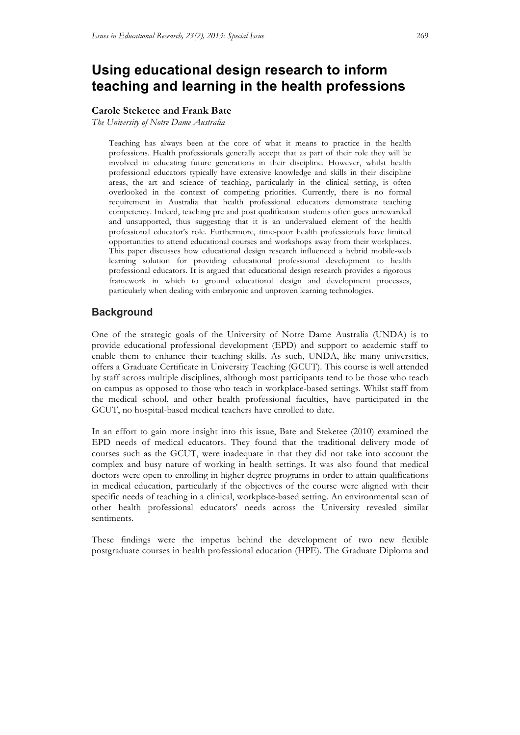# **Using educational design research to inform teaching and learning in the health professions**

#### **Carole Steketee and Frank Bate**

*The University of Notre Dame Australia*

Teaching has always been at the core of what it means to practice in the health professions. Health professionals generally accept that as part of their role they will be involved in educating future generations in their discipline. However, whilst health professional educators typically have extensive knowledge and skills in their discipline areas, the art and science of teaching, particularly in the clinical setting, is often overlooked in the context of competing priorities. Currently, there is no formal requirement in Australia that health professional educators demonstrate teaching competency. Indeed, teaching pre and post qualification students often goes unrewarded and unsupported, thus suggesting that it is an undervalued element of the health professional educator's role. Furthermore, time-poor health professionals have limited opportunities to attend educational courses and workshops away from their workplaces. This paper discusses how educational design research influenced a hybrid mobile-web learning solution for providing educational professional development to health professional educators. It is argued that educational design research provides a rigorous framework in which to ground educational design and development processes, particularly when dealing with embryonic and unproven learning technologies.

# **Background**

One of the strategic goals of the University of Notre Dame Australia (UNDA) is to provide educational professional development (EPD) and support to academic staff to enable them to enhance their teaching skills. As such, UNDA, like many universities, offers a Graduate Certificate in University Teaching (GCUT). This course is well attended by staff across multiple disciplines, although most participants tend to be those who teach on campus as opposed to those who teach in workplace-based settings. Whilst staff from the medical school, and other health professional faculties, have participated in the GCUT, no hospital-based medical teachers have enrolled to date.

In an effort to gain more insight into this issue, Bate and Steketee (2010) examined the EPD needs of medical educators. They found that the traditional delivery mode of courses such as the GCUT, were inadequate in that they did not take into account the complex and busy nature of working in health settings. It was also found that medical doctors were open to enrolling in higher degree programs in order to attain qualifications in medical education, particularly if the objectives of the course were aligned with their specific needs of teaching in a clinical, workplace-based setting. An environmental scan of other health professional educators' needs across the University revealed similar sentiments.

These findings were the impetus behind the development of two new flexible postgraduate courses in health professional education (HPE). The Graduate Diploma and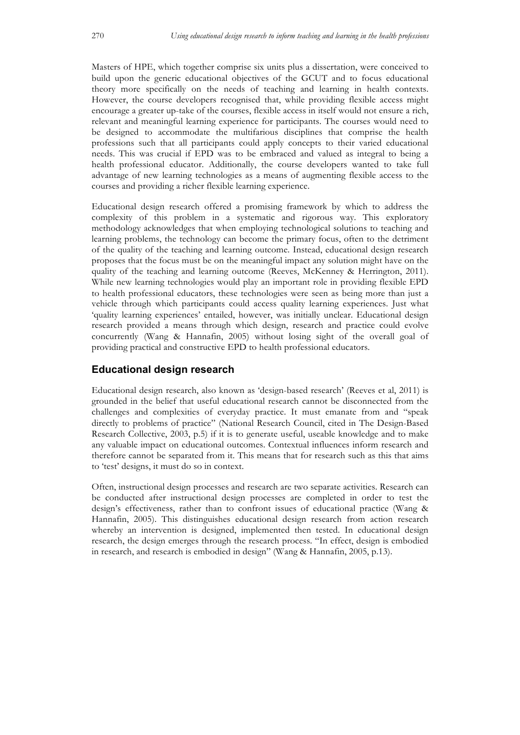Masters of HPE, which together comprise six units plus a dissertation, were conceived to build upon the generic educational objectives of the GCUT and to focus educational theory more specifically on the needs of teaching and learning in health contexts. However, the course developers recognised that, while providing flexible access might encourage a greater up-take of the courses, flexible access in itself would not ensure a rich, relevant and meaningful learning experience for participants. The courses would need to be designed to accommodate the multifarious disciplines that comprise the health professions such that all participants could apply concepts to their varied educational needs. This was crucial if EPD was to be embraced and valued as integral to being a health professional educator. Additionally, the course developers wanted to take full advantage of new learning technologies as a means of augmenting flexible access to the courses and providing a richer flexible learning experience.

Educational design research offered a promising framework by which to address the complexity of this problem in a systematic and rigorous way. This exploratory methodology acknowledges that when employing technological solutions to teaching and learning problems, the technology can become the primary focus, often to the detriment of the quality of the teaching and learning outcome. Instead, educational design research proposes that the focus must be on the meaningful impact any solution might have on the quality of the teaching and learning outcome (Reeves, McKenney & Herrington, 2011). While new learning technologies would play an important role in providing flexible EPD to health professional educators, these technologies were seen as being more than just a vehicle through which participants could access quality learning experiences. Just what 'quality learning experiences' entailed, however, was initially unclear. Educational design research provided a means through which design, research and practice could evolve concurrently (Wang & Hannafin, 2005) without losing sight of the overall goal of providing practical and constructive EPD to health professional educators.

# **Educational design research**

Educational design research, also known as 'design-based research' (Reeves et al, 2011) is grounded in the belief that useful educational research cannot be disconnected from the challenges and complexities of everyday practice. It must emanate from and "speak directly to problems of practice" (National Research Council, cited in The Design-Based Research Collective, 2003, p.5) if it is to generate useful, useable knowledge and to make any valuable impact on educational outcomes. Contextual influences inform research and therefore cannot be separated from it. This means that for research such as this that aims to 'test' designs, it must do so in context.

Often, instructional design processes and research are two separate activities. Research can be conducted after instructional design processes are completed in order to test the design's effectiveness, rather than to confront issues of educational practice (Wang & Hannafin, 2005). This distinguishes educational design research from action research whereby an intervention is designed, implemented then tested. In educational design research, the design emerges through the research process. "In effect, design is embodied in research, and research is embodied in design" (Wang & Hannafin, 2005, p.13).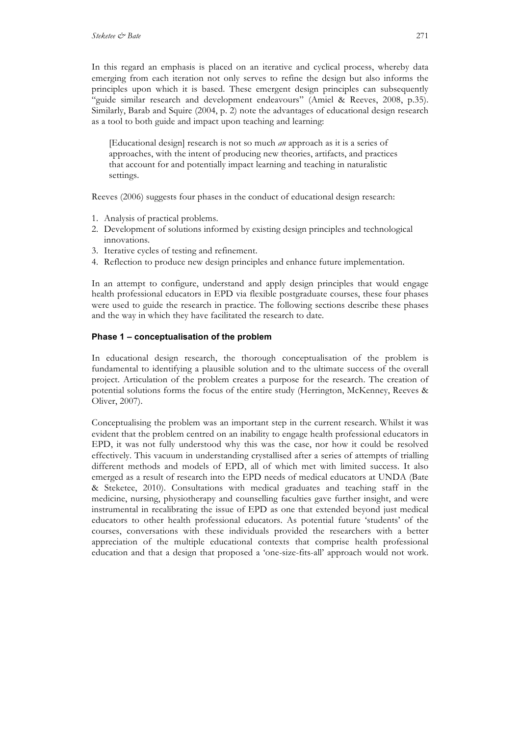In this regard an emphasis is placed on an iterative and cyclical process, whereby data emerging from each iteration not only serves to refine the design but also informs the principles upon which it is based. These emergent design principles can subsequently "guide similar research and development endeavours" (Amiel & Reeves, 2008, p.35). Similarly, Barab and Squire (2004, p. 2) note the advantages of educational design research as a tool to both guide and impact upon teaching and learning:

[Educational design] research is not so much *an* approach as it is a series of approaches, with the intent of producing new theories, artifacts, and practices that account for and potentially impact learning and teaching in naturalistic settings.

Reeves (2006) suggests four phases in the conduct of educational design research:

- 1. Analysis of practical problems.
- 2. Development of solutions informed by existing design principles and technological innovations.
- 3. Iterative cycles of testing and refinement.
- 4. Reflection to produce new design principles and enhance future implementation.

In an attempt to configure, understand and apply design principles that would engage health professional educators in EPD via flexible postgraduate courses, these four phases were used to guide the research in practice. The following sections describe these phases and the way in which they have facilitated the research to date.

## **Phase 1 – conceptualisation of the problem**

In educational design research, the thorough conceptualisation of the problem is fundamental to identifying a plausible solution and to the ultimate success of the overall project. Articulation of the problem creates a purpose for the research. The creation of potential solutions forms the focus of the entire study (Herrington, McKenney, Reeves & Oliver, 2007).

Conceptualising the problem was an important step in the current research. Whilst it was evident that the problem centred on an inability to engage health professional educators in EPD, it was not fully understood why this was the case, nor how it could be resolved effectively. This vacuum in understanding crystallised after a series of attempts of trialling different methods and models of EPD, all of which met with limited success. It also emerged as a result of research into the EPD needs of medical educators at UNDA (Bate & Steketee, 2010). Consultations with medical graduates and teaching staff in the medicine, nursing, physiotherapy and counselling faculties gave further insight, and were instrumental in recalibrating the issue of EPD as one that extended beyond just medical educators to other health professional educators. As potential future 'students' of the courses, conversations with these individuals provided the researchers with a better appreciation of the multiple educational contexts that comprise health professional education and that a design that proposed a 'one-size-fits-all' approach would not work.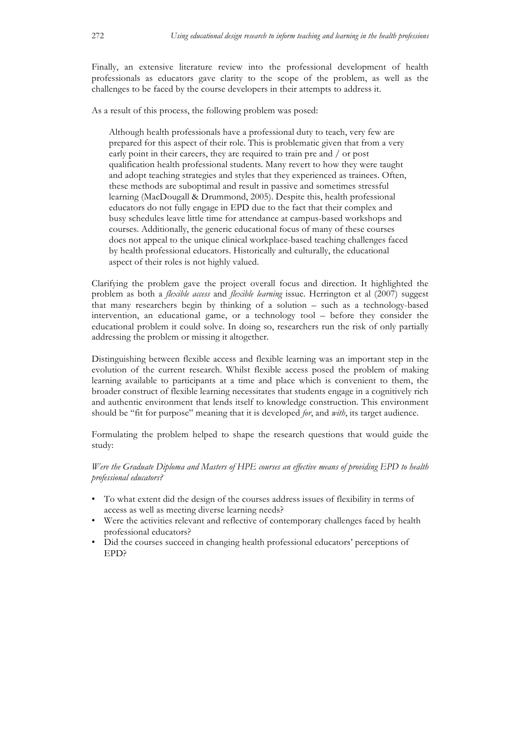Finally, an extensive literature review into the professional development of health professionals as educators gave clarity to the scope of the problem, as well as the challenges to be faced by the course developers in their attempts to address it.

As a result of this process, the following problem was posed:

Although health professionals have a professional duty to teach, very few are prepared for this aspect of their role. This is problematic given that from a very early point in their careers, they are required to train pre and / or post qualification health professional students. Many revert to how they were taught and adopt teaching strategies and styles that they experienced as trainees. Often, these methods are suboptimal and result in passive and sometimes stressful learning (MacDougall & Drummond, 2005). Despite this, health professional educators do not fully engage in EPD due to the fact that their complex and busy schedules leave little time for attendance at campus-based workshops and courses. Additionally, the generic educational focus of many of these courses does not appeal to the unique clinical workplace-based teaching challenges faced by health professional educators. Historically and culturally, the educational aspect of their roles is not highly valued.

Clarifying the problem gave the project overall focus and direction. It highlighted the problem as both a *flexible access* and *flexible learning* issue. Herrington et al (2007) suggest that many researchers begin by thinking of a solution – such as a technology-based intervention, an educational game, or a technology tool – before they consider the educational problem it could solve. In doing so, researchers run the risk of only partially addressing the problem or missing it altogether.

Distinguishing between flexible access and flexible learning was an important step in the evolution of the current research. Whilst flexible access posed the problem of making learning available to participants at a time and place which is convenient to them, the broader construct of flexible learning necessitates that students engage in a cognitively rich and authentic environment that lends itself to knowledge construction. This environment should be "fit for purpose" meaning that it is developed *for*, and *with*, its target audience.

Formulating the problem helped to shape the research questions that would guide the study:

## *Were the Graduate Diploma and Masters of HPE courses an effective means of providing EPD to health professional educators?*

- To what extent did the design of the courses address issues of flexibility in terms of access as well as meeting diverse learning needs?
- Were the activities relevant and reflective of contemporary challenges faced by health professional educators?
- Did the courses succeed in changing health professional educators' perceptions of EPD?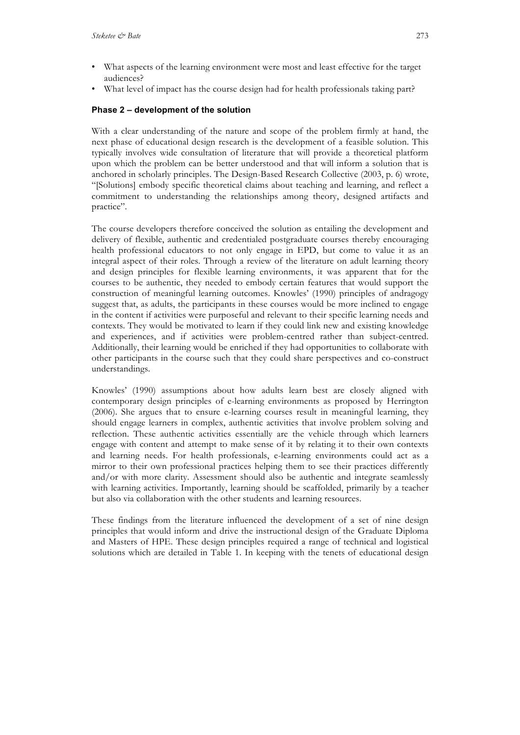- What aspects of the learning environment were most and least effective for the target audiences?
- What level of impact has the course design had for health professionals taking part?

#### **Phase 2 – development of the solution**

With a clear understanding of the nature and scope of the problem firmly at hand, the next phase of educational design research is the development of a feasible solution. This typically involves wide consultation of literature that will provide a theoretical platform upon which the problem can be better understood and that will inform a solution that is anchored in scholarly principles. The Design-Based Research Collective (2003, p. 6) wrote, "[Solutions] embody specific theoretical claims about teaching and learning, and reflect a commitment to understanding the relationships among theory, designed artifacts and practice".

The course developers therefore conceived the solution as entailing the development and delivery of flexible, authentic and credentialed postgraduate courses thereby encouraging health professional educators to not only engage in EPD, but come to value it as an integral aspect of their roles. Through a review of the literature on adult learning theory and design principles for flexible learning environments, it was apparent that for the courses to be authentic, they needed to embody certain features that would support the construction of meaningful learning outcomes. Knowles' (1990) principles of andragogy suggest that, as adults, the participants in these courses would be more inclined to engage in the content if activities were purposeful and relevant to their specific learning needs and contexts. They would be motivated to learn if they could link new and existing knowledge and experiences, and if activities were problem-centred rather than subject-centred. Additionally, their learning would be enriched if they had opportunities to collaborate with other participants in the course such that they could share perspectives and co-construct understandings.

Knowles' (1990) assumptions about how adults learn best are closely aligned with contemporary design principles of e-learning environments as proposed by Herrington (2006). She argues that to ensure e-learning courses result in meaningful learning, they should engage learners in complex, authentic activities that involve problem solving and reflection. These authentic activities essentially are the vehicle through which learners engage with content and attempt to make sense of it by relating it to their own contexts and learning needs. For health professionals, e-learning environments could act as a mirror to their own professional practices helping them to see their practices differently and/or with more clarity. Assessment should also be authentic and integrate seamlessly with learning activities. Importantly, learning should be scaffolded, primarily by a teacher but also via collaboration with the other students and learning resources.

These findings from the literature influenced the development of a set of nine design principles that would inform and drive the instructional design of the Graduate Diploma and Masters of HPE. These design principles required a range of technical and logistical solutions which are detailed in Table 1. In keeping with the tenets of educational design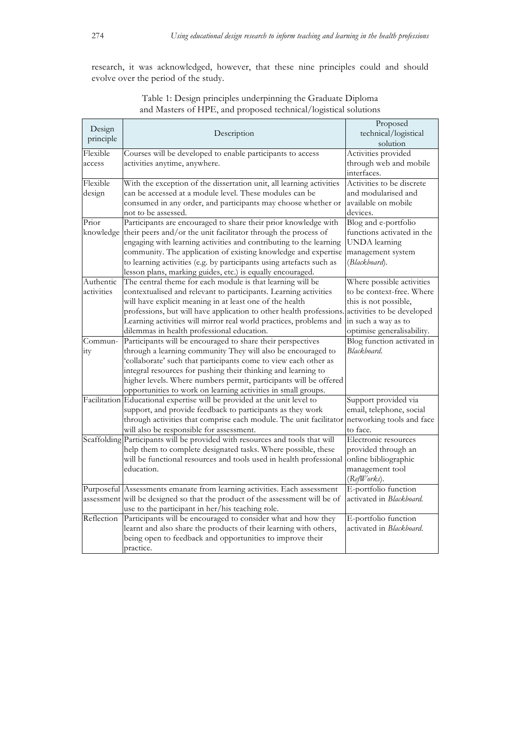research, it was acknowledged, however, that these nine principles could and should evolve over the period of the study.

| Design<br>principle | Description                                                                  | Proposed<br>technical/logistical<br>solution |
|---------------------|------------------------------------------------------------------------------|----------------------------------------------|
| Flexible            | Courses will be developed to enable participants to access                   | Activities provided                          |
| access              | activities anytime, anywhere.                                                | through web and mobile<br>interfaces.        |
| Flexible            | With the exception of the dissertation unit, all learning activities         | Activities to be discrete                    |
| design              | can be accessed at a module level. These modules can be                      | and modularised and                          |
|                     | consumed in any order, and participants may choose whether or                | available on mobile                          |
|                     | not to be assessed.                                                          | devices.                                     |
| Prior               | Participants are encouraged to share their prior knowledge with              | Blog and e-portfolio                         |
| knowledge           | their peers and/or the unit facilitator through the process of               | functions activated in the                   |
|                     | engaging with learning activities and contributing to the learning           | <b>UNDA</b> learning                         |
|                     | community. The application of existing knowledge and expertise               | management system                            |
|                     | to learning activities (e.g. by participants using artefacts such as         | (Blackboard).                                |
|                     | lesson plans, marking guides, etc.) is equally encouraged.                   |                                              |
| Authentic           | The central theme for each module is that learning will be                   | Where possible activities                    |
| activities          | contextualised and relevant to participants. Learning activities             | to be context-free. Where                    |
|                     | will have explicit meaning in at least one of the health                     | this is not possible,                        |
|                     | professions, but will have application to other health professions.          | activities to be developed                   |
|                     | Learning activities will mirror real world practices, problems and           | in such a way as to                          |
|                     | dilemmas in health professional education.                                   | optimise generalisability.                   |
| Commun-             | Participants will be encouraged to share their perspectives                  | Blog function activated in                   |
| ity                 | through a learning community They will also be encouraged to                 | Blackboard.                                  |
|                     | 'collaborate' such that participants come to view each other as              |                                              |
|                     | integral resources for pushing their thinking and learning to                |                                              |
|                     | higher levels. Where numbers permit, participants will be offered            |                                              |
|                     | opportunities to work on learning activities in small groups.                |                                              |
|                     | Facilitation Educational expertise will be provided at the unit level to     | Support provided via                         |
|                     | support, and provide feedback to participants as they work                   | email, telephone, social                     |
|                     | through activities that comprise each module. The unit facilitator           | networking tools and face                    |
|                     | will also be responsible for assessment.                                     | to face.                                     |
|                     | Scaffolding Participants will be provided with resources and tools that will | Electronic resources                         |
|                     | help them to complete designated tasks. Where possible, these                | provided through an                          |
|                     | will be functional resources and tools used in health professional           | online bibliographic                         |
|                     | education.                                                                   | management tool                              |
|                     |                                                                              | (RefWorsks).                                 |
|                     | Purposeful Assessments emanate from learning activities. Each assessment     | E-portfolio function                         |
|                     | assessment will be designed so that the product of the assessment will be of | activated in Blackboard.                     |
|                     | use to the participant in her/his teaching role.                             |                                              |
| Reflection          | Participants will be encouraged to consider what and how they                | E-portfolio function                         |
|                     | learnt and also share the products of their learning with others,            | activated in Blackboard.                     |
|                     | being open to feedback and opportunities to improve their                    |                                              |
|                     | practice.                                                                    |                                              |

Table 1: Design principles underpinning the Graduate Diploma and Masters of HPE, and proposed technical/logistical solutions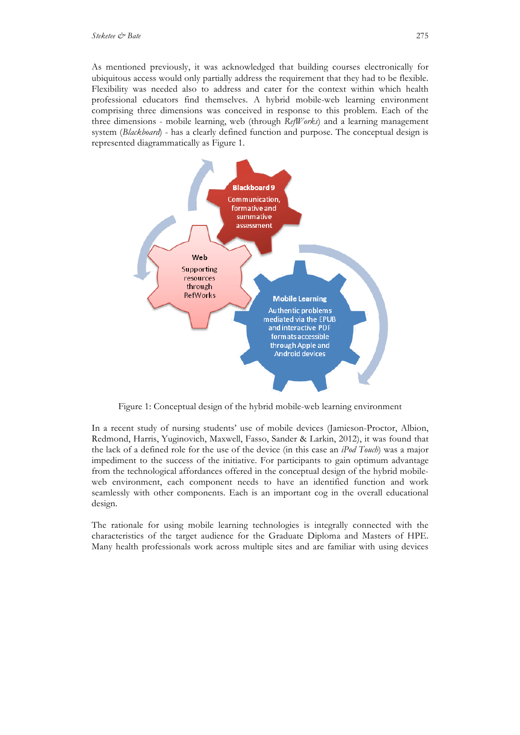As mentioned previously, it was acknowledged that building courses electronically for ubiquitous access would only partially address the requirement that they had to be flexible. Flexibility was needed also to address and cater for the context within which health professional educators find themselves. A hybrid mobile-web learning environment comprising three dimensions was conceived in response to this problem. Each of the three dimensions - mobile learning, web (through *RefWorks*) and a learning management system (*Blackboard*) - has a clearly defined function and purpose. The conceptual design is represented diagrammatically as Figure 1.



Figure 1: Conceptual design of the hybrid mobile-web learning environment

In a recent study of nursing students' use of mobile devices (Jamieson-Proctor, Albion, Redmond, Harris, Yuginovich, Maxwell, Fasso, Sander & Larkin, 2012), it was found that the lack of a defined role for the use of the device (in this case an *iPod Touch*) was a major impediment to the success of the initiative. For participants to gain optimum advantage from the technological affordances offered in the conceptual design of the hybrid mobileweb environment, each component needs to have an identified function and work seamlessly with other components. Each is an important cog in the overall educational design.

The rationale for using mobile learning technologies is integrally connected with the characteristics of the target audience for the Graduate Diploma and Masters of HPE. Many health professionals work across multiple sites and are familiar with using devices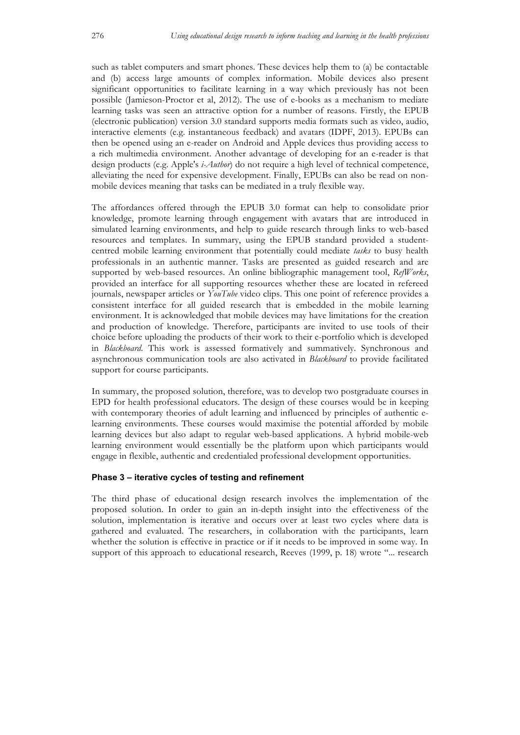such as tablet computers and smart phones. These devices help them to (a) be contactable and (b) access large amounts of complex information. Mobile devices also present significant opportunities to facilitate learning in a way which previously has not been possible (Jamieson-Proctor et al, 2012). The use of e-books as a mechanism to mediate learning tasks was seen an attractive option for a number of reasons. Firstly, the EPUB (electronic publication) version 3.0 standard supports media formats such as video, audio, interactive elements (e.g. instantaneous feedback) and avatars (IDPF, 2013). EPUBs can then be opened using an e-reader on Android and Apple devices thus providing access to a rich multimedia environment. Another advantage of developing for an e-reader is that design products (e.g. Apple's *i-Author*) do not require a high level of technical competence, alleviating the need for expensive development. Finally, EPUBs can also be read on nonmobile devices meaning that tasks can be mediated in a truly flexible way.

The affordances offered through the EPUB 3.0 format can help to consolidate prior knowledge, promote learning through engagement with avatars that are introduced in simulated learning environments, and help to guide research through links to web-based resources and templates. In summary, using the EPUB standard provided a studentcentred mobile learning environment that potentially could mediate *tasks* to busy health professionals in an authentic manner. Tasks are presented as guided research and are supported by web-based resources. An online bibliographic management tool, *RefWorks*, provided an interface for all supporting resources whether these are located in refereed journals, newspaper articles or *YouTube* video clips. This one point of reference provides a consistent interface for all guided research that is embedded in the mobile learning environment. It is acknowledged that mobile devices may have limitations for the creation and production of knowledge. Therefore, participants are invited to use tools of their choice before uploading the products of their work to their e-portfolio which is developed in *Blackboard*. This work is assessed formatively and summatively. Synchronous and asynchronous communication tools are also activated in *Blackboard* to provide facilitated support for course participants.

In summary, the proposed solution, therefore, was to develop two postgraduate courses in EPD for health professional educators. The design of these courses would be in keeping with contemporary theories of adult learning and influenced by principles of authentic elearning environments. These courses would maximise the potential afforded by mobile learning devices but also adapt to regular web-based applications. A hybrid mobile-web learning environment would essentially be the platform upon which participants would engage in flexible, authentic and credentialed professional development opportunities.

#### **Phase 3 – iterative cycles of testing and refinement**

The third phase of educational design research involves the implementation of the proposed solution. In order to gain an in-depth insight into the effectiveness of the solution, implementation is iterative and occurs over at least two cycles where data is gathered and evaluated. The researchers, in collaboration with the participants, learn whether the solution is effective in practice or if it needs to be improved in some way. In support of this approach to educational research, Reeves (1999, p. 18) wrote "... research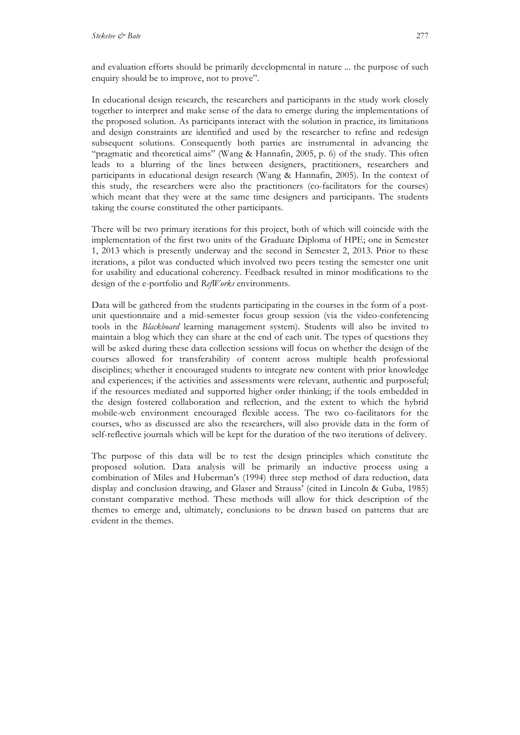and evaluation efforts should be primarily developmental in nature ... the purpose of such enquiry should be to improve, not to prove".

In educational design research, the researchers and participants in the study work closely together to interpret and make sense of the data to emerge during the implementations of the proposed solution. As participants interact with the solution in practice, its limitations and design constraints are identified and used by the researcher to refine and redesign subsequent solutions. Consequently both parties are instrumental in advancing the "pragmatic and theoretical aims" (Wang & Hannafin, 2005, p. 6) of the study. This often leads to a blurring of the lines between designers, practitioners, researchers and participants in educational design research (Wang & Hannafin, 2005). In the context of this study, the researchers were also the practitioners (co-facilitators for the courses) which meant that they were at the same time designers and participants. The students taking the course constituted the other participants.

There will be two primary iterations for this project, both of which will coincide with the implementation of the first two units of the Graduate Diploma of HPE; one in Semester 1, 2013 which is presently underway and the second in Semester 2, 2013. Prior to these iterations, a pilot was conducted which involved two peers testing the semester one unit for usability and educational coherency. Feedback resulted in minor modifications to the design of the e-portfolio and *RefWorks* environments.

Data will be gathered from the students participating in the courses in the form of a postunit questionnaire and a mid-semester focus group session (via the video-conferencing tools in the *Blackboard* learning management system). Students will also be invited to maintain a blog which they can share at the end of each unit. The types of questions they will be asked during these data collection sessions will focus on whether the design of the courses allowed for transferability of content across multiple health professional disciplines; whether it encouraged students to integrate new content with prior knowledge and experiences; if the activities and assessments were relevant, authentic and purposeful; if the resources mediated and supported higher order thinking; if the tools embedded in the design fostered collaboration and reflection, and the extent to which the hybrid mobile-web environment encouraged flexible access. The two co-facilitators for the courses, who as discussed are also the researchers, will also provide data in the form of self-reflective journals which will be kept for the duration of the two iterations of delivery.

The purpose of this data will be to test the design principles which constitute the proposed solution. Data analysis will be primarily an inductive process using a combination of Miles and Huberman's (1994) three step method of data reduction, data display and conclusion drawing, and Glaser and Strauss' (cited in Lincoln & Guba, 1985) constant comparative method. These methods will allow for thick description of the themes to emerge and, ultimately, conclusions to be drawn based on patterns that are evident in the themes.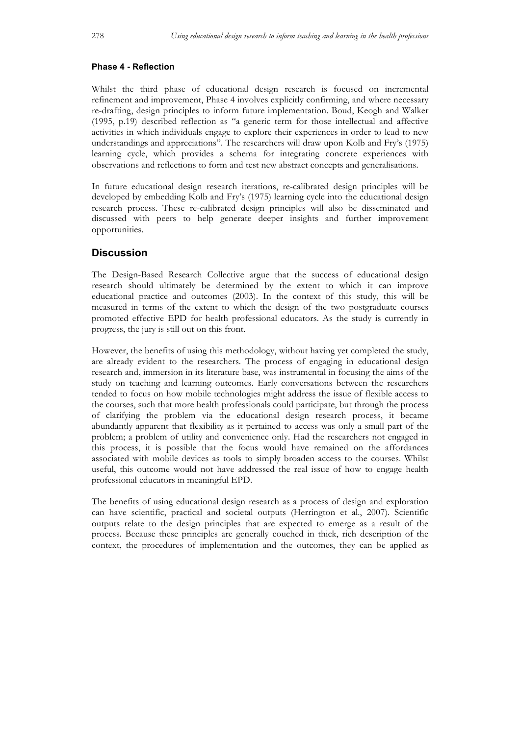#### **Phase 4 - Reflection**

Whilst the third phase of educational design research is focused on incremental refinement and improvement, Phase 4 involves explicitly confirming, and where necessary re-drafting, design principles to inform future implementation. Boud, Keogh and Walker (1995, p.19) described reflection as "a generic term for those intellectual and affective activities in which individuals engage to explore their experiences in order to lead to new understandings and appreciations". The researchers will draw upon Kolb and Fry's (1975) learning cycle, which provides a schema for integrating concrete experiences with observations and reflections to form and test new abstract concepts and generalisations.

In future educational design research iterations, re-calibrated design principles will be developed by embedding Kolb and Fry's (1975) learning cycle into the educational design research process. These re-calibrated design principles will also be disseminated and discussed with peers to help generate deeper insights and further improvement opportunities.

# **Discussion**

The Design-Based Research Collective argue that the success of educational design research should ultimately be determined by the extent to which it can improve educational practice and outcomes (2003). In the context of this study, this will be measured in terms of the extent to which the design of the two postgraduate courses promoted effective EPD for health professional educators. As the study is currently in progress, the jury is still out on this front.

However, the benefits of using this methodology, without having yet completed the study, are already evident to the researchers. The process of engaging in educational design research and, immersion in its literature base, was instrumental in focusing the aims of the study on teaching and learning outcomes. Early conversations between the researchers tended to focus on how mobile technologies might address the issue of flexible access to the courses, such that more health professionals could participate, but through the process of clarifying the problem via the educational design research process, it became abundantly apparent that flexibility as it pertained to access was only a small part of the problem; a problem of utility and convenience only. Had the researchers not engaged in this process, it is possible that the focus would have remained on the affordances associated with mobile devices as tools to simply broaden access to the courses. Whilst useful, this outcome would not have addressed the real issue of how to engage health professional educators in meaningful EPD.

The benefits of using educational design research as a process of design and exploration can have scientific, practical and societal outputs (Herrington et al., 2007). Scientific outputs relate to the design principles that are expected to emerge as a result of the process. Because these principles are generally couched in thick, rich description of the context, the procedures of implementation and the outcomes, they can be applied as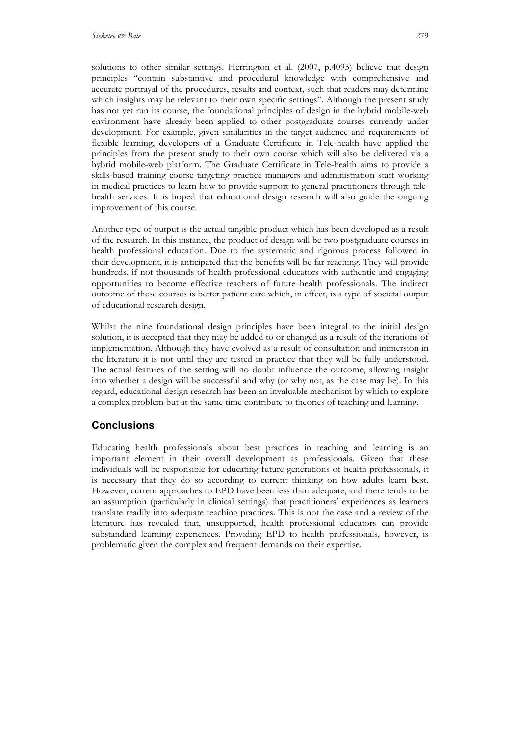solutions to other similar settings. Herrington et al. (2007, p.4095) believe that design principles "contain substantive and procedural knowledge with comprehensive and accurate portrayal of the procedures, results and context, such that readers may determine which insights may be relevant to their own specific settings". Although the present study has not yet run its course, the foundational principles of design in the hybrid mobile-web environment have already been applied to other postgraduate courses currently under development. For example, given similarities in the target audience and requirements of flexible learning, developers of a Graduate Certificate in Tele-health have applied the principles from the present study to their own course which will also be delivered via a hybrid mobile-web platform. The Graduate Certificate in Tele-health aims to provide a skills-based training course targeting practice managers and administration staff working in medical practices to learn how to provide support to general practitioners through telehealth services. It is hoped that educational design research will also guide the ongoing improvement of this course.

Another type of output is the actual tangible product which has been developed as a result of the research. In this instance, the product of design will be two postgraduate courses in health professional education. Due to the systematic and rigorous process followed in their development, it is anticipated that the benefits will be far reaching. They will provide hundreds, if not thousands of health professional educators with authentic and engaging opportunities to become effective teachers of future health professionals. The indirect outcome of these courses is better patient care which, in effect, is a type of societal output of educational research design.

Whilst the nine foundational design principles have been integral to the initial design solution, it is accepted that they may be added to or changed as a result of the iterations of implementation. Although they have evolved as a result of consultation and immersion in the literature it is not until they are tested in practice that they will be fully understood. The actual features of the setting will no doubt influence the outcome, allowing insight into whether a design will be successful and why (or why not, as the case may be). In this regard, educational design research has been an invaluable mechanism by which to explore a complex problem but at the same time contribute to theories of teaching and learning.

# **Conclusions**

Educating health professionals about best practices in teaching and learning is an important element in their overall development as professionals. Given that these individuals will be responsible for educating future generations of health professionals, it is necessary that they do so according to current thinking on how adults learn best. However, current approaches to EPD have been less than adequate, and there tends to be an assumption (particularly in clinical settings) that practitioners' experiences as learners translate readily into adequate teaching practices. This is not the case and a review of the literature has revealed that, unsupported, health professional educators can provide substandard learning experiences. Providing EPD to health professionals, however, is problematic given the complex and frequent demands on their expertise.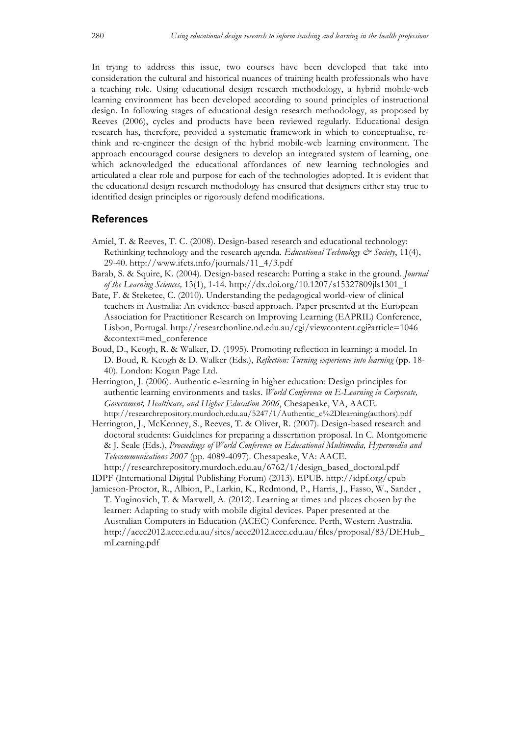In trying to address this issue, two courses have been developed that take into consideration the cultural and historical nuances of training health professionals who have a teaching role. Using educational design research methodology, a hybrid mobile-web learning environment has been developed according to sound principles of instructional design. In following stages of educational design research methodology, as proposed by Reeves (2006), cycles and products have been reviewed regularly. Educational design research has, therefore, provided a systematic framework in which to conceptualise, rethink and re-engineer the design of the hybrid mobile-web learning environment. The approach encouraged course designers to develop an integrated system of learning, one which acknowledged the educational affordances of new learning technologies and articulated a clear role and purpose for each of the technologies adopted. It is evident that the educational design research methodology has ensured that designers either stay true to identified design principles or rigorously defend modifications.

#### **References**

- Amiel, T. & Reeves, T. C. (2008). Design-based research and educational technology: Rethinking technology and the research agenda. *Educational Technology & Society*, 11(4), 29-40. http://www.ifets.info/journals/11\_4/3.pdf
- Barab, S. & Squire, K. (2004). Design-based research: Putting a stake in the ground. *Journal of the Learning Sciences,* 13(1), 1-14. http://dx.doi.org/10.1207/s15327809jls1301\_1
- Bate, F. & Steketee, C. (2010). Understanding the pedagogical world-view of clinical teachers in Australia: An evidence-based approach. Paper presented at the European Association for Practitioner Research on Improving Learning (EAPRIL) Conference, Lisbon, Portugal. http://researchonline.nd.edu.au/cgi/viewcontent.cgi?article=1046 &context=med\_conference
- Boud, D., Keogh, R. & Walker, D. (1995). Promoting reflection in learning: a model. In D. Boud, R. Keogh & D. Walker (Eds.), *Reflection: Turning experience into learning* (pp. 18- 40). London: Kogan Page Ltd.
- Herrington, J. (2006). Authentic e-learning in higher education: Design principles for authentic learning environments and tasks. *World Conference on E-Learning in Corporate, Government, Healthcare, and Higher Education 2006*, Chesapeake, VA, AACE. http://researchrepository.murdoch.edu.au/5247/1/Authentic\_e%2Dlearning(authors).pdf
- Herrington, J., McKenney, S., Reeves, T. & Oliver, R. (2007). Design-based research and doctoral students: Guidelines for preparing a dissertation proposal. In C. Montgomerie & J. Seale (Eds.), *Proceedings of World Conference on Educational Multimedia, Hypermedia and Telecommunications 2007* (pp. 4089-4097). Chesapeake, VA: AACE. http://researchrepository.murdoch.edu.au/6762/1/design\_based\_doctoral.pdf

IDPF (International Digital Publishing Forum) (2013). EPUB. http://idpf.org/epub

Jamieson-Proctor, R., Albion, P., Larkin, K., Redmond, P., Harris, J., Fasso, W., Sander , T. Yuginovich, T. & Maxwell, A. (2012). Learning at times and places chosen by the learner: Adapting to study with mobile digital devices. Paper presented at the Australian Computers in Education (ACEC) Conference. Perth, Western Australia. http://acec2012.acce.edu.au/sites/acec2012.acce.edu.au/files/proposal/83/DEHub\_ mLearning.pdf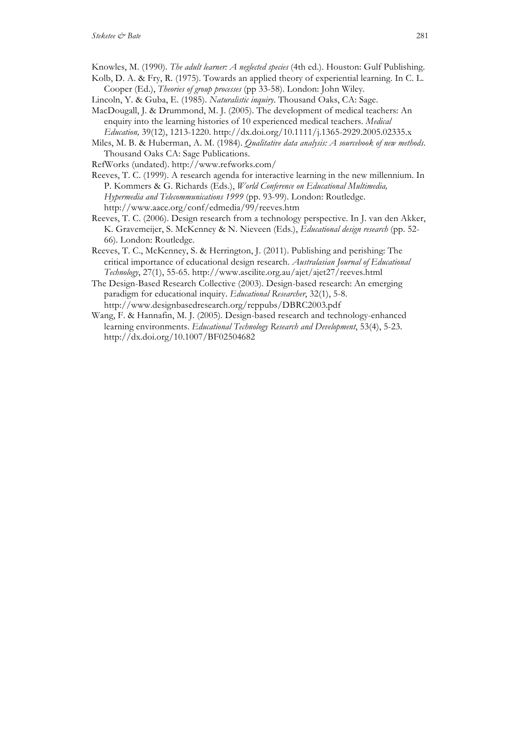- Knowles, M. (1990). *The adult learner: A neglected species* (4th ed.). Houston: Gulf Publishing.
- Kolb, D. A. & Fry, R. (1975). Towards an applied theory of experiential learning. In C. L. Cooper (Ed.), *Theories of group processes* (pp 33-58). London: John Wiley.
- Lincoln, Y. & Guba, E. (1985). *Naturalistic inquiry*. Thousand Oaks, CA: Sage.
- MacDougall, J. & Drummond, M. J. (2005). The development of medical teachers: An enquiry into the learning histories of 10 experienced medical teachers. *Medical Education,* 39(12), 1213-1220. http://dx.doi.org/10.1111/j.1365-2929.2005.02335.x
- Miles, M. B. & Huberman, A. M. (1984). *Qualitative data analysis: A sourcebook of new methods*. Thousand Oaks CA: Sage Publications.
- RefWorks (undated). http://www.refworks.com/
- Reeves, T. C. (1999). A research agenda for interactive learning in the new millennium. In P. Kommers & G. Richards (Eds.), *World Conference on Educational Multimedia, Hypermedia and Telecommunications 1999* (pp. 93-99). London: Routledge. http://www.aace.org/conf/edmedia/99/reeves.htm
- Reeves, T. C. (2006). Design research from a technology perspective. In J. van den Akker, K. Gravemeijer, S. McKenney & N. Nieveen (Eds.), *Educational design research* (pp. 52- 66). London: Routledge.
- Reeves, T. C., McKenney, S. & Herrington, J. (2011). Publishing and perishing: The critical importance of educational design research. *Australasian Journal of Educational Technology*, 27(1), 55-65. http://www.ascilite.org.au/ajet/ajet27/reeves.html
- The Design-Based Research Collective (2003). Design-based research: An emerging paradigm for educational inquiry. *Educational Researcher*, 32(1), 5-8. http://www.designbasedresearch.org/reppubs/DBRC2003.pdf
- Wang, F. & Hannafin, M. J. (2005). Design-based research and technology-enhanced learning environments. *Educational Technology Research and Development*, 53(4), 5-23. http://dx.doi.org/10.1007/BF02504682